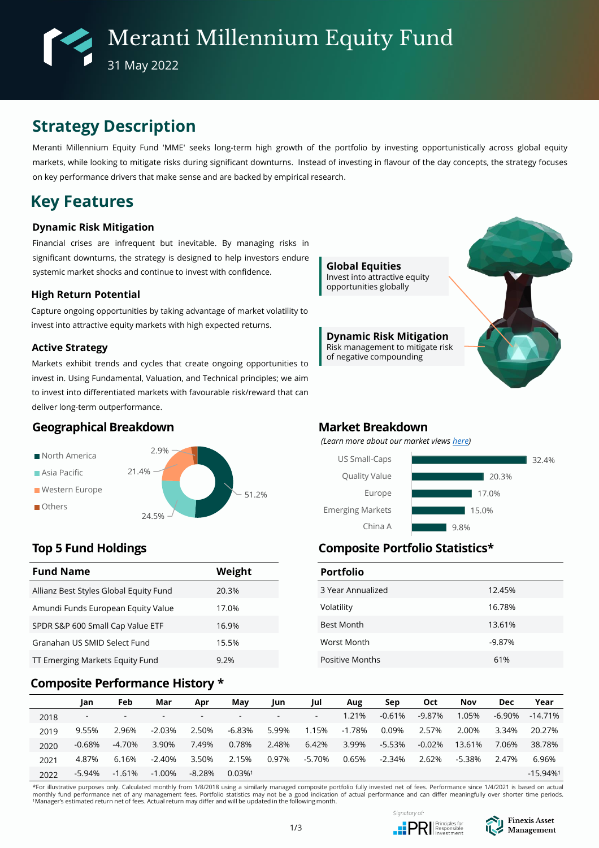# **Strategy Description**

Meranti Millennium Equity Fund 'MME' seeks long-term high growth of the portfolio by investing opportunistically across global equity markets, while looking to mitigate risks during significant downturns. Instead of investing in flavour of the day concepts, the strategy focuses on key performance drivers that make sense and are backed by empirical research.

# **Key Features**

### **Dynamic Risk Mitigation**

Financial crises are infrequent but inevitable. By managing risks in significant downturns, the strategy is designed to help investors endure systemic market shocks and continue to invest with confidence.

### **High Return Potential**

Capture ongoing opportunities by taking advantage of market volatility to invest into attractive equity markets with high expected returns.

### **Active Strategy**

Markets exhibit trends and cycles that create ongoing opportunities to invest in. Using Fundamental, Valuation, and Technical principles; we aim to invest into differentiated markets with favourable risk/reward that can deliver long-term outperformance.

## **Geographical Breakdown**



| <b>Fund Name</b>                       | Weight |  |  |  |  |  |
|----------------------------------------|--------|--|--|--|--|--|
| Allianz Best Styles Global Equity Fund | 20.3%  |  |  |  |  |  |
| Amundi Funds European Equity Value     | 17.0%  |  |  |  |  |  |
| SPDR S&P 600 Small Cap Value ETF       | 16.9%  |  |  |  |  |  |
| Granahan US SMID Select Fund           | 15.5%  |  |  |  |  |  |
| TT Emerging Markets Equity Fund        | 9.2%   |  |  |  |  |  |

### **Composite Performance History \***



### **Market Breakdown**

*(Learn more about our market views [here\)](https://www.finexisam.com/publication/monthly/FAM_Commentary_Detailed%20Report_202206.pdf)*



# **Top 5 Fund Holdings Composite Portfolio Statistics\***

| <b>Portfolio</b>       |          |
|------------------------|----------|
| 3 Year Annualized      | 12.45%   |
| Volatility             | 16.78%   |
| <b>Best Month</b>      | 13.61%   |
| Worst Month            | $-9.87%$ |
| <b>Positive Months</b> | 61%      |

|      | Jan                      | Feb    | Mar                      | Apr      | May                      | Jun                      | Jul    | Aug    | Sep      | <b>Oct</b> | <b>Nov</b> | <b>Dec</b> | Year                   |
|------|--------------------------|--------|--------------------------|----------|--------------------------|--------------------------|--------|--------|----------|------------|------------|------------|------------------------|
| 2018 | $\overline{\phantom{0}}$ | . .    | $\overline{\phantom{a}}$ |          | $\overline{\phantom{0}}$ | $\overline{\phantom{a}}$ | ۰      | 1.21%  | $-0.61%$ | $-9.87%$   | 1.05%      | -6.90%     | -14.71%                |
| 2019 | 9.55%                    | 2.96%  | $-2.03%$                 | 2.50%    | -6.83%                   | 5.99%                    | 1.15%  | -1.78% | 0.09%    | 2.57%      | 2.00%      | 3.34%      | 20.27%                 |
| 2020 | -0.68%                   | -4.70% | 3.90%                    | 7.49%    | 0.78%                    | 2.48%                    | 6.42%  | 3.99%  | -5.53%   | $-0.02%$   | 13.61%     | 7.06%      | 38.78%                 |
| 2021 | 4.87%                    | 6.16%  | $-2.40%$                 | 3.50%    | 2.15%                    | 0.97%                    | -5.70% | 0.65%  | $-2.34%$ | 2.62%      | $-5.38%$   | 2.47%      | 6.96%                  |
| 2022 | -5.94%                   | -1.61% | $-1.00\%$                | $-8.28%$ | $0.03\%$ <sup>1</sup>    |                          |        |        |          |            |            |            | $-15.94%$ <sup>1</sup> |

\*For illustrative purposes only. Calculated monthly from 1/8/2018 using a similarly managed composite portfolio fully invested net of fees. Performance since 1/4/2021 is based on actual monthly fund performance net of any management fees. Portfolio statistics may not be a good indication of actual performance and can differ meaningfully over shorter time periods.<br>'Manager's estimated return net of fees. A



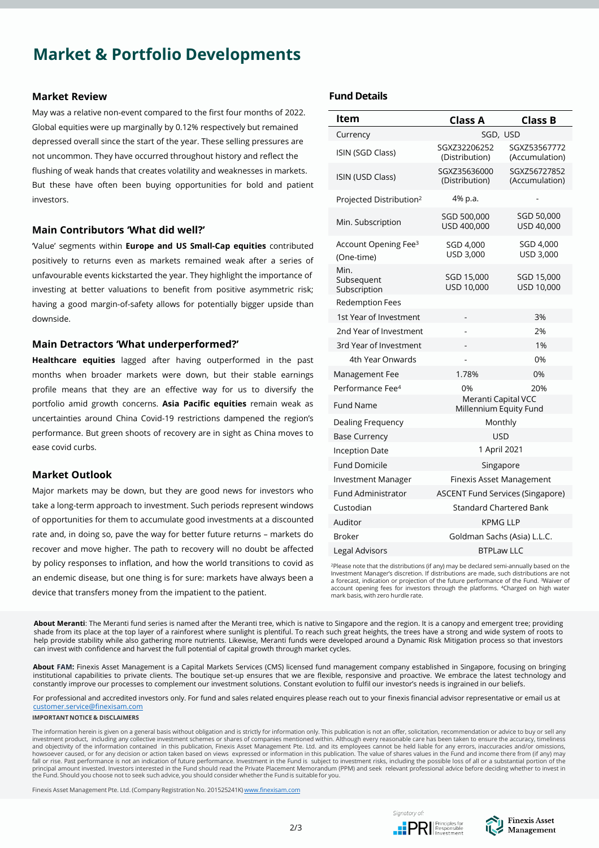# **Market & Portfolio Developments**

#### **Market Review**

May was a relative non-event compared to the first four months of 2022. Global equities were up marginally by 0.12% respectively but remained depressed overall since the start of the year. These selling pressures are not uncommon. They have occurred throughout history and reflect the flushing of weak hands that creates volatility and weaknesses in markets. But these have often been buying opportunities for bold and patient investors.

### **Main Contributors 'What did well?'**

'Value' segments within **Europe and US Small-Cap equities** contributed positively to returns even as markets remained weak after a series of unfavourable events kickstarted the year. They highlight the importance of investing at better valuations to benefit from positive asymmetric risk; having a good margin-of-safety allows for potentially bigger upside than downside.

### **Main Detractors 'What underperformed?'**

**Healthcare equities** lagged after having outperformed in the past months when broader markets were down, but their stable earnings profile means that they are an effective way for us to diversify the portfolio amid growth concerns. **Asia Pacific equities** remain weak as uncertainties around China Covid-19 restrictions dampened the region's performance. But green shoots of recovery are in sight as China moves to ease covid curbs.

### **Market Outlook**

Major markets may be down, but they are good news for investors who take a long-term approach to investment. Such periods represent windows of opportunities for them to accumulate good investments at a discounted rate and, in doing so, pave the way for better future returns – markets do recover and move higher. The path to recovery will no doubt be affected by policy responses to inflation, and how the world transitions to covid as an endemic disease, but one thing is for sure: markets have always been a device that transfers money from the impatient to the patient.

### **Fund Details**

| ltem                                                                 | <b>Class A</b>                                | <b>Class B</b>                 |  |  |  |  |  |
|----------------------------------------------------------------------|-----------------------------------------------|--------------------------------|--|--|--|--|--|
| Currency                                                             | SGD, USD                                      |                                |  |  |  |  |  |
| ISIN (SGD Class)                                                     | SGXZ32206252<br>(Distribution)                | SGXZ53567772<br>(Accumulation) |  |  |  |  |  |
| ISIN (USD Class)                                                     | SGXZ35636000<br>(Distribution)                | SGXZ56727852<br>(Accumulation) |  |  |  |  |  |
| Projected Distribution <sup>2</sup>                                  | 4% p.a.                                       |                                |  |  |  |  |  |
| Min. Subscription                                                    | SGD 500,000<br>USD 400,000                    | SGD 50,000<br>USD 40,000       |  |  |  |  |  |
| Account Opening Fee <sup>3</sup><br>(One-time)                       | SGD 4,000<br>USD 3.000                        | SGD 4,000<br>USD 3,000         |  |  |  |  |  |
| Min.<br>Subsequent<br>Subscription                                   | SGD 15,000<br>USD 10,000                      | SGD 15,000<br>USD 10,000       |  |  |  |  |  |
| <b>Redemption Fees</b>                                               |                                               |                                |  |  |  |  |  |
| 1st Year of Investment                                               |                                               | 3%                             |  |  |  |  |  |
| 2nd Year of Investment                                               |                                               | 2%                             |  |  |  |  |  |
| 3rd Year of Investment                                               |                                               | 1%                             |  |  |  |  |  |
| 4th Year Onwards                                                     |                                               | 0%                             |  |  |  |  |  |
| Management Fee                                                       | 1.78%                                         | 0%                             |  |  |  |  |  |
| Performance Fee <sup>4</sup>                                         | 0%                                            | 20%                            |  |  |  |  |  |
| <b>Fund Name</b>                                                     | Meranti Capital VCC<br>Millennium Equity Fund |                                |  |  |  |  |  |
| Dealing Frequency                                                    | Monthly                                       |                                |  |  |  |  |  |
| <b>Base Currency</b>                                                 | <b>USD</b>                                    |                                |  |  |  |  |  |
| <b>Inception Date</b>                                                | 1 April 2021                                  |                                |  |  |  |  |  |
| <b>Fund Domicile</b>                                                 | Singapore                                     |                                |  |  |  |  |  |
| <b>Investment Manager</b><br>Finexis Asset Management                |                                               |                                |  |  |  |  |  |
| <b>Fund Administrator</b><br><b>ASCENT Fund Services (Singapore)</b> |                                               |                                |  |  |  |  |  |
| Custodian<br>Standard Chartered Bank                                 |                                               |                                |  |  |  |  |  |
| Auditor<br><b>KPMG LLP</b>                                           |                                               |                                |  |  |  |  |  |
| <b>Broker</b>                                                        | Goldman Sachs (Asia) L.L.C.                   |                                |  |  |  |  |  |
| <b>Legal Advisors</b>                                                | <b>BTPLaw LLC</b>                             |                                |  |  |  |  |  |

<sup>2</sup>Please note that the distributions (if any) may be declared semi-annually based on the Investment Manager's discretion. If distributions are made, such distributions are not a forecast, indication or projection of the future performance of the Fund. <sup>3</sup>Waiver of account opening fees for investors through the platforms. <sup>4</sup>Charged on high water mark basis, with zero hurdle rate.

**About Meranti**: The Meranti fund series is named after the Meranti tree, which is native to Singapore and the region. It is a canopy and emergent tree; providing shade from its place at the top layer of a rainforest where sunlight is plentiful. To reach such great heights, the trees have a strong and wide system of roots to help provide stability while also gathering more nutrients. Likewise, Meranti funds were developed around a Dynamic Risk Mitigation process so that investors can invest with confidence and harvest the full potential of capital growth through market cycles.

**About FAM:** Finexis Asset Management is a Capital Markets Services (CMS) licensed fund management company established in Singapore, focusing on bringing institutional capabilities to private clients. The boutique set-up ensures that we are flexible, responsive and proactive. We embrace the latest technology and constantly improve our processes to complement our investment solutions. Constant evolution to fulfil our investor's needs is ingrained in our beliefs.

For professional and accredited investors only. For fund and sales related enquires please reach out to your finexis financial advisor representative or email us at [customer.service@finexisam.com](mailto:customer.service@finexisam.com)

#### **IMPORTANT NOTICE & DISCLAIMERS**

The information herein is given on a general basis without obligation and is strictly for information only. This publication is not an offer, solicitation, recommendation or advice to buy or sell any investment product, including any collective investment schemes or shares of companies mentioned within. Although every reasonable care has been taken to ensure the accuracy, timeliness<br>and objectivity of the information c howsoever caused, or for any decision or action taken based on views expressed or information in this publication. The value of shares values in the Fund and income there from (if any) may<br>fall or rise. Past performance i principal amount invested. Investors interested in the Fund should read the Private Placement Memorandum (PPM) and seek relevant professional advice before deciding whether to invest in<br>the Fund. Should you choose not to

Finexis Asset Management Pte. Ltd. (Company Registration No. 201525241K) [www.finexisam.com](http://www.finexisam.com/)